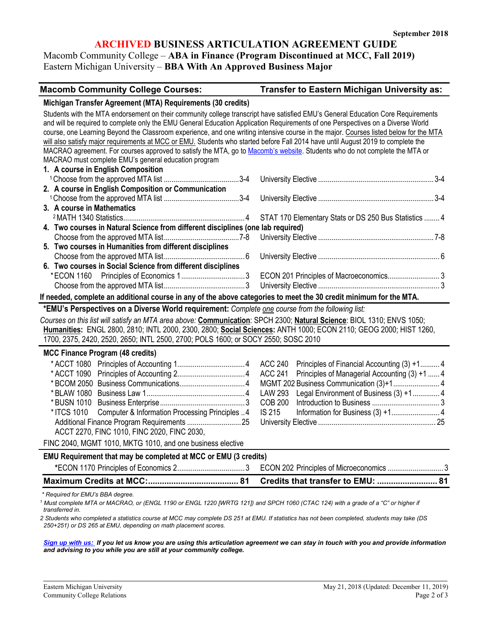# **ARCHIVED BUSINESS ARTICULATION AGREEMENT GUIDE**

Macomb Community College – **ABA in Finance (Program Discontinued at MCC, Fall 2019)** Eastern Michigan University – **BBA With An Approved Business Major**

#### **Macomb Community College Courses: Transfer to Eastern Michigan University as:**

#### **Michigan Transfer Agreement (MTA) Requirements (30 credits)**

| Students with the MTA endorsement on their community college transcript have satisfied EMU's General Education Core Requirements<br>and will be required to complete only the EMU General Education Application Requirements of one Perspectives on a Diverse World<br>course, one Learning Beyond the Classroom experience, and one writing intensive course in the major. Courses listed below for the MTA<br>will also satisfy major requirements at MCC or EMU. Students who started before Fall 2014 have until August 2019 to complete the<br>MACRAO agreement. For courses approved to satisfy the MTA, go to Macomb's website. Students who do not complete the MTA or<br>MACRAO must complete EMU's general education program |                                                                 |
|----------------------------------------------------------------------------------------------------------------------------------------------------------------------------------------------------------------------------------------------------------------------------------------------------------------------------------------------------------------------------------------------------------------------------------------------------------------------------------------------------------------------------------------------------------------------------------------------------------------------------------------------------------------------------------------------------------------------------------------|-----------------------------------------------------------------|
| 1. A course in English Composition                                                                                                                                                                                                                                                                                                                                                                                                                                                                                                                                                                                                                                                                                                     |                                                                 |
|                                                                                                                                                                                                                                                                                                                                                                                                                                                                                                                                                                                                                                                                                                                                        |                                                                 |
| 2. A course in English Composition or Communication                                                                                                                                                                                                                                                                                                                                                                                                                                                                                                                                                                                                                                                                                    |                                                                 |
|                                                                                                                                                                                                                                                                                                                                                                                                                                                                                                                                                                                                                                                                                                                                        |                                                                 |
| 3. A course in Mathematics                                                                                                                                                                                                                                                                                                                                                                                                                                                                                                                                                                                                                                                                                                             |                                                                 |
|                                                                                                                                                                                                                                                                                                                                                                                                                                                                                                                                                                                                                                                                                                                                        | STAT 170 Elementary Stats or DS 250 Bus Statistics  4           |
| 4. Two courses in Natural Science from different disciplines (one lab required)                                                                                                                                                                                                                                                                                                                                                                                                                                                                                                                                                                                                                                                        |                                                                 |
|                                                                                                                                                                                                                                                                                                                                                                                                                                                                                                                                                                                                                                                                                                                                        |                                                                 |
| 5. Two courses in Humanities from different disciplines                                                                                                                                                                                                                                                                                                                                                                                                                                                                                                                                                                                                                                                                                |                                                                 |
|                                                                                                                                                                                                                                                                                                                                                                                                                                                                                                                                                                                                                                                                                                                                        |                                                                 |
| 6. Two courses in Social Science from different disciplines                                                                                                                                                                                                                                                                                                                                                                                                                                                                                                                                                                                                                                                                            |                                                                 |
|                                                                                                                                                                                                                                                                                                                                                                                                                                                                                                                                                                                                                                                                                                                                        | ECON 201 Principles of Macroeconomics 3                         |
|                                                                                                                                                                                                                                                                                                                                                                                                                                                                                                                                                                                                                                                                                                                                        |                                                                 |
| If needed, complete an additional course in any of the above categories to meet the 30 credit minimum for the MTA.                                                                                                                                                                                                                                                                                                                                                                                                                                                                                                                                                                                                                     |                                                                 |
| *EMU's Perspectives on a Diverse World requirement: Complete one course from the following list:                                                                                                                                                                                                                                                                                                                                                                                                                                                                                                                                                                                                                                       |                                                                 |
|                                                                                                                                                                                                                                                                                                                                                                                                                                                                                                                                                                                                                                                                                                                                        |                                                                 |
| Courses on this list will satisfy an MTA area above: Communication: SPCH 2300; Natural Science: BIOL 1310; ENVS 1050;<br>Humanities: ENGL 2800, 2810; INTL 2000, 2300, 2800; Social Sciences: ANTH 1000; ECON 2110; GEOG 2000; HIST 1260,                                                                                                                                                                                                                                                                                                                                                                                                                                                                                              |                                                                 |
| 1700, 2375, 2420, 2520, 2650; INTL 2500, 2700; POLS 1600; or SOCY 2550; SOSC 2010                                                                                                                                                                                                                                                                                                                                                                                                                                                                                                                                                                                                                                                      |                                                                 |
| <b>MCC Finance Program (48 credits)</b>                                                                                                                                                                                                                                                                                                                                                                                                                                                                                                                                                                                                                                                                                                |                                                                 |
|                                                                                                                                                                                                                                                                                                                                                                                                                                                                                                                                                                                                                                                                                                                                        | <b>ACC 240</b><br>Principles of Financial Accounting (3) +1 4   |
|                                                                                                                                                                                                                                                                                                                                                                                                                                                                                                                                                                                                                                                                                                                                        | <b>ACC 241</b><br>Principles of Managerial Accounting (3) +1  4 |
|                                                                                                                                                                                                                                                                                                                                                                                                                                                                                                                                                                                                                                                                                                                                        |                                                                 |
|                                                                                                                                                                                                                                                                                                                                                                                                                                                                                                                                                                                                                                                                                                                                        | <b>LAW 293</b><br>Legal Environment of Business (3) +1 4        |
|                                                                                                                                                                                                                                                                                                                                                                                                                                                                                                                                                                                                                                                                                                                                        | <b>COB 200</b>                                                  |
| Computer & Information Processing Principles 4<br>* ITCS 1010                                                                                                                                                                                                                                                                                                                                                                                                                                                                                                                                                                                                                                                                          | <b>IS 215</b>                                                   |
|                                                                                                                                                                                                                                                                                                                                                                                                                                                                                                                                                                                                                                                                                                                                        |                                                                 |
| ACCT 2270, FINC 1010, FINC 2020, FINC 2030,                                                                                                                                                                                                                                                                                                                                                                                                                                                                                                                                                                                                                                                                                            |                                                                 |
| FINC 2040, MGMT 1010, MKTG 1010, and one business elective                                                                                                                                                                                                                                                                                                                                                                                                                                                                                                                                                                                                                                                                             |                                                                 |
| EMU Requirement that may be completed at MCC or EMU (3 credits)                                                                                                                                                                                                                                                                                                                                                                                                                                                                                                                                                                                                                                                                        |                                                                 |
|                                                                                                                                                                                                                                                                                                                                                                                                                                                                                                                                                                                                                                                                                                                                        | ECON 202 Principles of Microeconomics  3                        |
|                                                                                                                                                                                                                                                                                                                                                                                                                                                                                                                                                                                                                                                                                                                                        | Credits that transfer to EMU:  81                               |

<sup>1</sup> Must complete MTA or MACRAO, or (ENGL 1190 or ENGL 1220 [WRTG 121]) and SPCH 1060 (CTAC 124) with a grade of a "C" or higher if *transferred in.* 

*2 Students who completed a statistics course at MCC may complete DS 251 at EMU. If statistics has not been completed, students may take (DS 250+251) or DS 265 at EMU, depending on math placement scores.* 

*[Sign up with us:](https://www.emich.edu/ccr/articulation-agreements/signup.php) If you let us know you are using this articulation agreement we can stay in touch with you and provide information and advising to you while you are still at your community college.*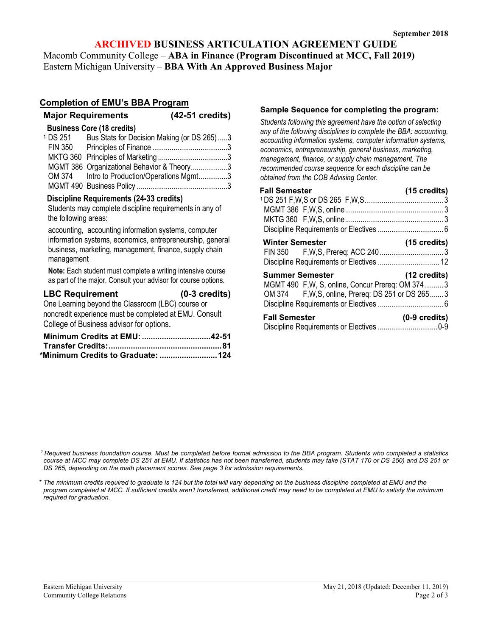## **ARCHIVED BUSINESS ARTICULATION AGREEMENT GUIDE**

Macomb Community College – **ABA in Finance (Program Discontinued at MCC, Fall 2019)** Eastern Michigan University – **BBA With An Approved Business Major**

### **Completion of EMU's BBA Program**

|                                                                                                                                                                                                                                                                                                           | <b>Major Requirements</b>                                                                     | (42-51 credits)                                                                                                                                             |  |
|-----------------------------------------------------------------------------------------------------------------------------------------------------------------------------------------------------------------------------------------------------------------------------------------------------------|-----------------------------------------------------------------------------------------------|-------------------------------------------------------------------------------------------------------------------------------------------------------------|--|
|                                                                                                                                                                                                                                                                                                           | <b>Business Core (18 credits)</b>                                                             | <sup>1</sup> DS 251 Bus Stats for Decision Making (or DS 265)3<br>MGMT 386 Organizational Behavior & Theory3<br>OM 374 Intro to Production/Operations Mgmt3 |  |
| Discipline Requirements (24-33 credits)<br>Students may complete discipline requirements in any of<br>the following areas:<br>accounting, accounting information systems, computer<br>information systems, economics, entrepreneurship, general<br>business, marketing, management, finance, supply chain |                                                                                               |                                                                                                                                                             |  |
| management                                                                                                                                                                                                                                                                                                |                                                                                               | Note: Each student must complete a writing intensive course<br>as part of the major. Consult your advisor for course options.                               |  |
| <b>LBC Requirement</b>                                                                                                                                                                                                                                                                                    | One Learning beyond the Classroom (LBC) course or<br>College of Business advisor for options. | $(0-3 \text{ credits})$<br>noncredit experience must be completed at EMU. Consult                                                                           |  |
|                                                                                                                                                                                                                                                                                                           |                                                                                               | Minimum Credits at EMU: 42-51                                                                                                                               |  |

| *Minimum Credits to Graduate: 124 |  |
|-----------------------------------|--|

#### **Sample Sequence for completing the program:**

*Students following this agreement have the option of selecting any of the following disciplines to complete the BBA: accounting, accounting information systems, computer information systems, economics, entrepreneurship, general business, marketing, management, finance, or supply chain management. The recommended course sequence for each discipline can be obtained from the COB Advising Center.*

| <b>Fall Semester</b>                               | (15 credits)            |
|----------------------------------------------------|-------------------------|
|                                                    |                         |
|                                                    |                         |
|                                                    |                         |
|                                                    |                         |
| <b>Winter Semester</b>                             | $(15 \text{ credits})$  |
|                                                    |                         |
| Discipline Requirements or Electives  12           |                         |
| <b>Summer Semester</b>                             | (12 credits)            |
| MGMT 490 F,W, S, online, Concur Prereq: OM 3743    |                         |
| OM 374 F, W, S, online, Prereq: DS 251 or DS 265 3 |                         |
|                                                    |                         |
| <b>Fall Semester</b>                               | $(0-9 \text{ credits})$ |
|                                                    |                         |

*1 Required business foundation course. Must be completed before formal admission to the BBA program. Students who completed a statistics course at MCC may complete DS 251 at EMU. If statistics has not been transferred, students may take (STAT 170 or DS 250) and DS 251 or DS 265, depending on the math placement scores. See page 3 for admission requirements.* 

*\* The minimum credits required to graduate is 124 but the total will vary depending on the business discipline completed at EMU and the program completed at MCC. If sufficient credits aren't transferred, additional credit may need to be completed at EMU to satisfy the minimum required for graduation.*